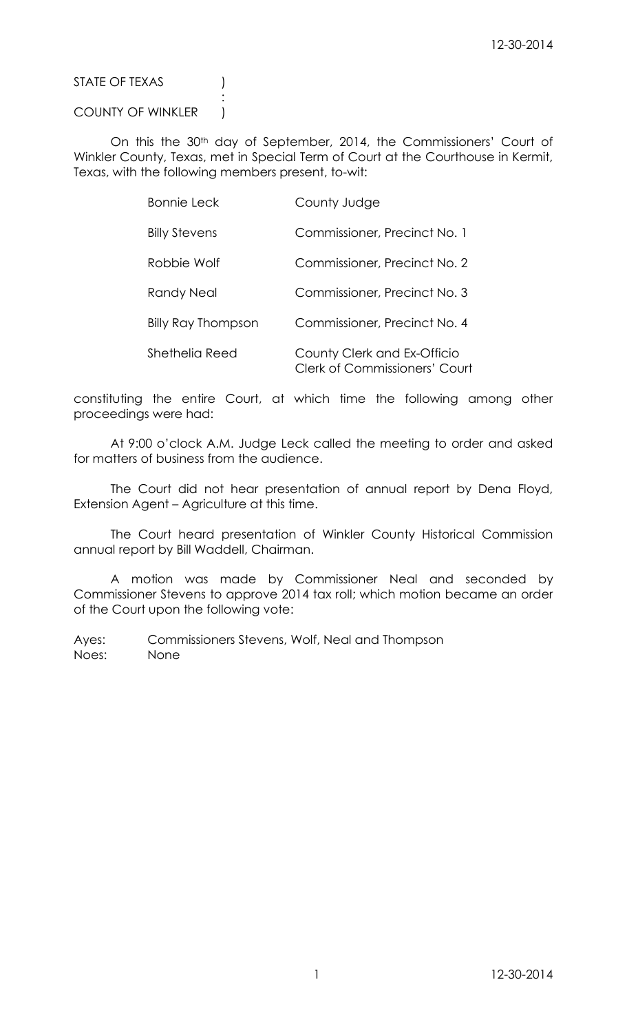STATE OF TEXAS (1)

COUNTY OF WINKLER |

:

On this the 30<sup>th</sup> day of September, 2014, the Commissioners' Court of Winkler County, Texas, met in Special Term of Court at the Courthouse in Kermit, Texas, with the following members present, to-wit:

| <b>Bonnie Leck</b>   | County Judge                                                        |
|----------------------|---------------------------------------------------------------------|
| <b>Billy Stevens</b> | Commissioner, Precinct No. 1                                        |
| Robbie Wolf          | Commissioner, Precinct No. 2                                        |
| Randy Neal           | Commissioner, Precinct No. 3                                        |
| Billy Ray Thompson   | Commissioner, Precinct No. 4                                        |
| Shethelia Reed       | County Clerk and Ex-Officio<br><b>Clerk of Commissioners' Court</b> |

constituting the entire Court, at which time the following among other proceedings were had:

At 9:00 o'clock A.M. Judge Leck called the meeting to order and asked for matters of business from the audience.

The Court did not hear presentation of annual report by Dena Floyd, Extension Agent – Agriculture at this time.

The Court heard presentation of Winkler County Historical Commission annual report by Bill Waddell, Chairman.

A motion was made by Commissioner Neal and seconded by Commissioner Stevens to approve 2014 tax roll; which motion became an order of the Court upon the following vote: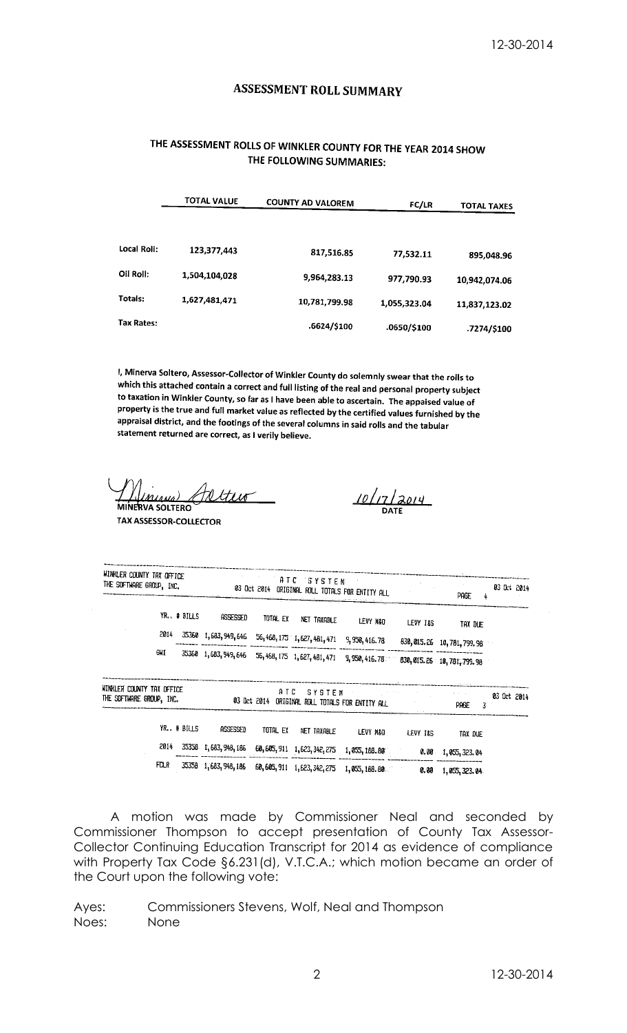# **ASSESSMENT ROLL SUMMARY**

# THE ASSESSMENT ROLLS OF WINKLER COUNTY FOR THE YEAR 2014 SHOW THE FOLLOWING SUMMARIES:

|             | <b>TOTAL VALUE</b> | <b>COUNTY AD VALOREM</b> | <b>FC/LR</b> | <b>TOTAL TAXES</b> |
|-------------|--------------------|--------------------------|--------------|--------------------|
| Local Roll: | 123,377,443        | 817,516.85               | 77,532.11    | 895,048.96         |
| Oil Roll:   | 1,504,104,028      | 9,964,283.13             | 977,790.93   | 10,942,074.06      |
| Totals:     | 1,627,481,471      | 10,781,799.98            | 1,055,323.04 | 11,837,123.02      |
| Tax Rates:  |                    | .6624/\$100              | .0650/\$100  | .7274/\$100        |

I, Minerva Soltero, Assessor-Collector of Winkler County do solemnly swear that the rolls to which this attached contain a correct and full listing of the real and personal property subject to taxation in Winkler County, so far as I have been able to ascertain. The appaised value of property is the true and full market value as reflected by the certified values furnished by the appraisal district, and the footings of the several columns in said rolls and the tabular statement returned are correct, as I verily believe.

ttuo **'VA SOLTERC** 

**TAX ASSESSOR-COLLECTOR** 

 $\frac{10}{17}$ 

|                                                                                                              | WINKLER COUNTY TAX OFFICE<br>ATC SYSTEM STORES<br>THE SUFTWARE GROUP, INC. 03 Oct 2014 ORIGINAL ROLL TOTALS FOR ENTITY ALL |                      |          |  |                                                                                                  |  | Page<br>4 | 03 Uct 2014 |
|--------------------------------------------------------------------------------------------------------------|----------------------------------------------------------------------------------------------------------------------------|----------------------|----------|--|--------------------------------------------------------------------------------------------------|--|-----------|-------------|
|                                                                                                              |                                                                                                                            | YR. # BILLS ASSESSED | total ex |  |                                                                                                  |  |           |             |
| 2014                                                                                                         |                                                                                                                            |                      |          |  | 35360 1,683,949,646 56,468,175 1,627,481,471 9,950,416.78 830,015.26 10,781,799.98               |  |           |             |
| gni                                                                                                          |                                                                                                                            |                      |          |  | 35360 1,683, 949, 646 56, 468, 175 1, 627, 481, 471 9, 950, 416. 78 30, 015. 26 10, 781, 799. 98 |  |           |             |
| WINKLER COUNTY TAX OFFICE<br>THE SOFTWARE GROUP, INC. <b>03 Det 2014 ORIGINAL ROLL TOTALS FOR ENTITY ALL</b> |                                                                                                                            |                      |          |  | ATC SYSTEM COMPANY OF STREET                                                                     |  |           | 03 Oct 2014 |
|                                                                                                              | YR. # BILLS                                                                                                                | assessed             | total ex |  |                                                                                                  |  |           |             |
| 2014                                                                                                         |                                                                                                                            |                      |          |  | 35358 1,683,948,186 60,605,911 1,623,342,275 1,055,188.80 0.00 1,055,323.04                      |  |           |             |
| FCLR                                                                                                         |                                                                                                                            |                      |          |  | 35358 1,683,948,186 60,605,911 1,623,342,275 1,055,188.80 000 0.00 1,055,323.04                  |  |           |             |

A motion was made by Commissioner Neal and seconded by Commissioner Thompson to accept presentation of County Tax Assessor-Collector Continuing Education Transcript for 2014 as evidence of compliance with Property Tax Code §6.231(d), V.T.C.A.; which motion became an order of the Court upon the following vote: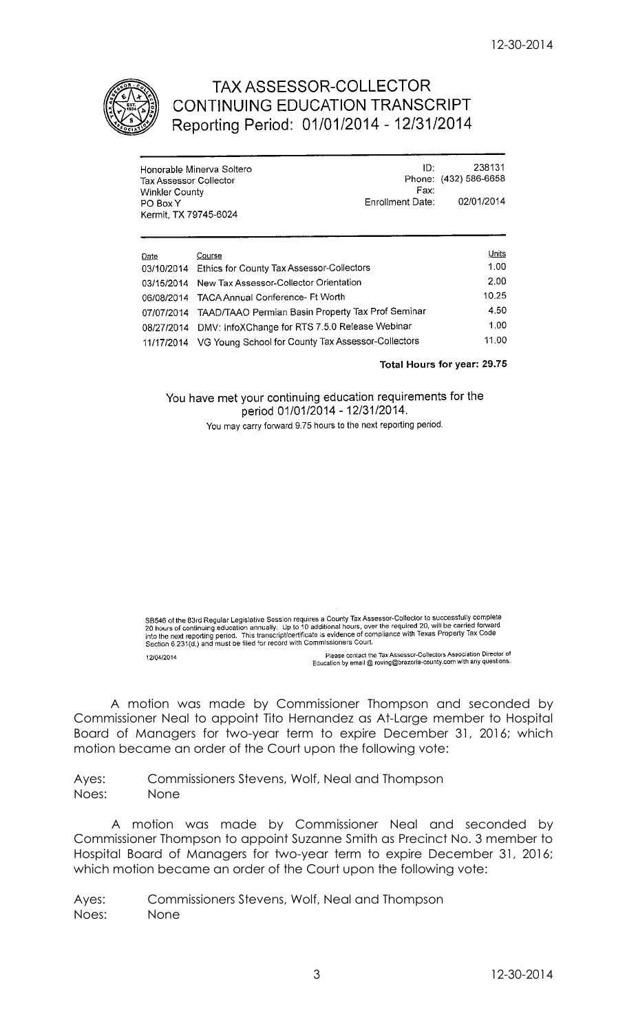

# **TAX ASSESSOR-COLLECTOR** CONTINUING EDUCATION TRANSCRIPT Reporting Period: 01/01/2014 - 12/31/2014

| Honorable Minerva Soltero<br><b>Tax Assessor Collector</b><br><b>Winkler County</b> |                                                               | ID:<br>Fax:      | 238131<br>Phone: (432) 586-6658 |
|-------------------------------------------------------------------------------------|---------------------------------------------------------------|------------------|---------------------------------|
| PO Box Y<br>Kermit, TX 79745-6024                                                   |                                                               | Enrollment Date: | 02/01/2014                      |
| Date                                                                                | Course                                                        |                  | Units                           |
| 03/10/2014                                                                          | Ethics for County Tax Assessor-Collectors                     |                  |                                 |
| 03/15/2014                                                                          | New Tax Assessor-Collector Orientation                        |                  | 2.00                            |
| 06/08/2014                                                                          | <b>TACA Annual Conference- Ft Worth</b>                       |                  | 10.25                           |
| 07/07/2014                                                                          | TAAD/TAAO Permian Basin Property Tax Prof Seminar             |                  | 4.50                            |
| 08/27/2014                                                                          | DMV: InfoXChange for RTS 7.5.0 Release Webinar                |                  | 1.00                            |
|                                                                                     | 11/17/2014 VG Young School for County Tax Assessor-Collectors |                  | 11.00                           |

Total Hours for year: 29.75

You have met your continuing education requirements for the period 01/01/2014 - 12/31/2014.

You may carry forward 9.75 hours to the next reporting period.

SB546 of the 83rd Regular Legislative Session requires a County Tax Assessor-Collector to successfully complete<br>20 hours of continuing education annually. Up to 10 additional hours, over the required 20, will be carried fo

Please contact the Tax Assessor-Collectors Association Director of<br>Education by email @ roving@brazoria-county.com with any questions. 12/04/2014

A motion was made by Commissioner Thompson and seconded by Commissioner Neal to appoint Tito Hernandez as At-Large member to Hospital Board of Managers for two-year term to expire December 31, 2016; which motion became an order of the Court upon the following vote:

Ayes: Commissioners Stevens, Wolf, Neal and Thompson Noes: None

 A motion was made by Commissioner Neal and seconded by Commissioner Thompson to appoint Suzanne Smith as Precinct No. 3 member to Hospital Board of Managers for two-year term to expire December 31, 2016; which motion became an order of the Court upon the following vote: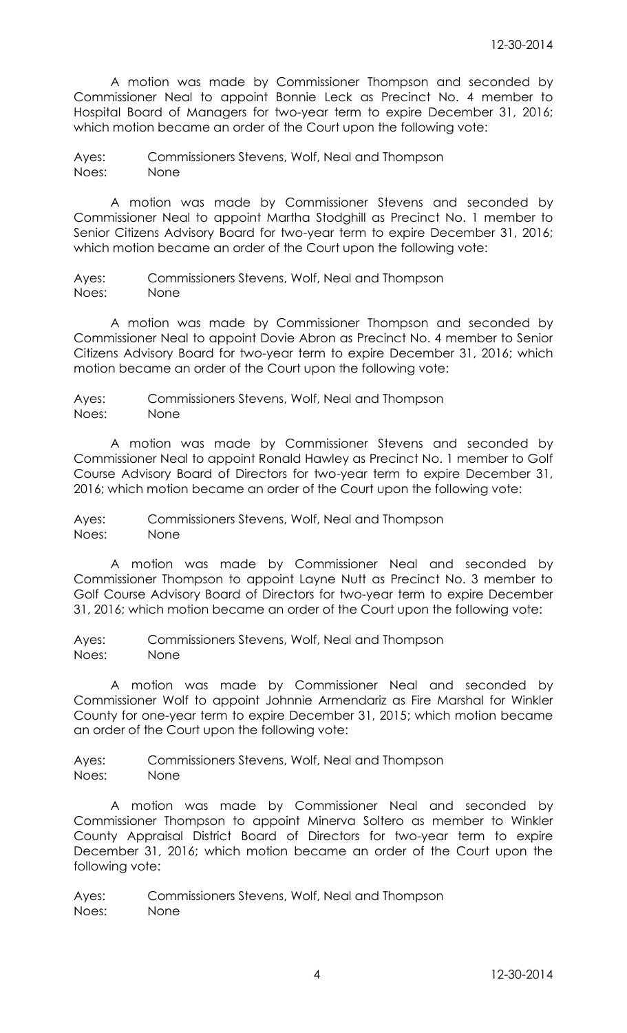A motion was made by Commissioner Thompson and seconded by Commissioner Neal to appoint Bonnie Leck as Precinct No. 4 member to Hospital Board of Managers for two-year term to expire December 31, 2016; which motion became an order of the Court upon the following vote:

Ayes: Commissioners Stevens, Wolf, Neal and Thompson Noes: None

A motion was made by Commissioner Stevens and seconded by Commissioner Neal to appoint Martha Stodghill as Precinct No. 1 member to Senior Citizens Advisory Board for two-year term to expire December 31, 2016; which motion became an order of the Court upon the following vote:

Ayes: Commissioners Stevens, Wolf, Neal and Thompson Noes: None

A motion was made by Commissioner Thompson and seconded by Commissioner Neal to appoint Dovie Abron as Precinct No. 4 member to Senior Citizens Advisory Board for two-year term to expire December 31, 2016; which motion became an order of the Court upon the following vote:

Ayes: Commissioners Stevens, Wolf, Neal and Thompson Noes: None

A motion was made by Commissioner Stevens and seconded by Commissioner Neal to appoint Ronald Hawley as Precinct No. 1 member to Golf Course Advisory Board of Directors for two-year term to expire December 31, 2016; which motion became an order of the Court upon the following vote:

Ayes: Commissioners Stevens, Wolf, Neal and Thompson Noes: None

A motion was made by Commissioner Neal and seconded by Commissioner Thompson to appoint Layne Nutt as Precinct No. 3 member to Golf Course Advisory Board of Directors for two-year term to expire December 31, 2016; which motion became an order of the Court upon the following vote:

Ayes: Commissioners Stevens, Wolf, Neal and Thompson Noes: None

A motion was made by Commissioner Neal and seconded by Commissioner Wolf to appoint Johnnie Armendariz as Fire Marshal for Winkler County for one-year term to expire December 31, 2015; which motion became an order of the Court upon the following vote:

Ayes: Commissioners Stevens, Wolf, Neal and Thompson Noes: None

A motion was made by Commissioner Neal and seconded by Commissioner Thompson to appoint Minerva Soltero as member to Winkler County Appraisal District Board of Directors for two-year term to expire December 31, 2016; which motion became an order of the Court upon the following vote: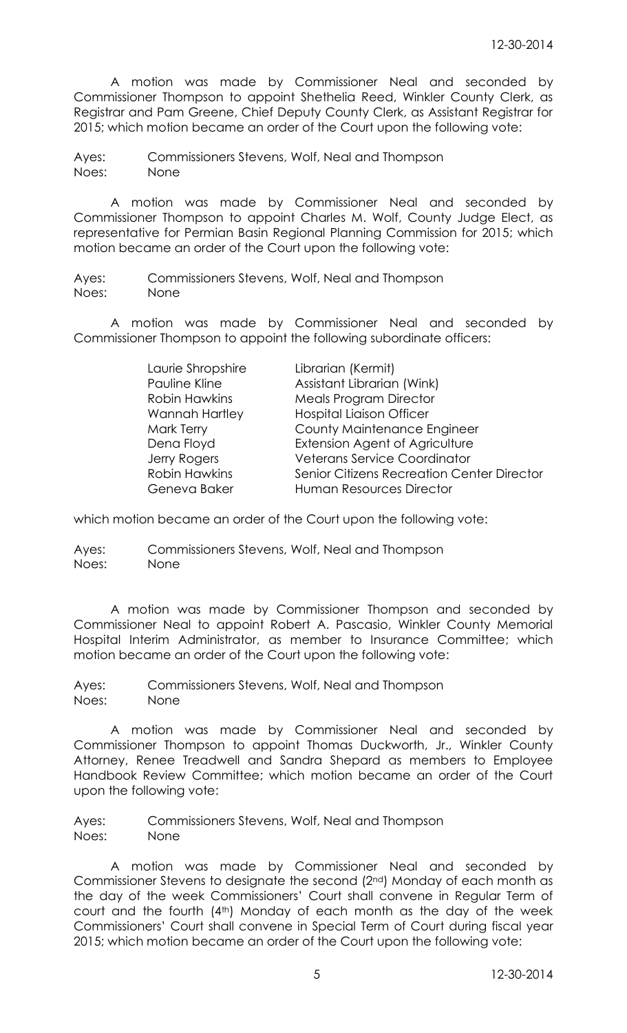A motion was made by Commissioner Neal and seconded by Commissioner Thompson to appoint Shethelia Reed, Winkler County Clerk, as Registrar and Pam Greene, Chief Deputy County Clerk, as Assistant Registrar for 2015; which motion became an order of the Court upon the following vote:

Ayes: Commissioners Stevens, Wolf, Neal and Thompson Noes: None

A motion was made by Commissioner Neal and seconded by Commissioner Thompson to appoint Charles M. Wolf, County Judge Elect, as representative for Permian Basin Regional Planning Commission for 2015; which motion became an order of the Court upon the following vote:

Ayes: Commissioners Stevens, Wolf, Neal and Thompson Noes: None

A motion was made by Commissioner Neal and seconded by Commissioner Thompson to appoint the following subordinate officers:

> Laurie Shropshire Librarian (Kermit) Pauline Kline **Assistant Librarian (Wink)** Robin Hawkins Meals Program Director Wannah Hartley Hospital Liaison Officer Mark Terry County Maintenance Engineer Dena Floyd Extension Agent of Agriculture Jerry Rogers Veterans Service Coordinator Robin Hawkins Senior Citizens Recreation Center Director Geneva Baker Human Resources Director

which motion became an order of the Court upon the following vote:

Ayes: Commissioners Stevens, Wolf, Neal and Thompson Noes: None

A motion was made by Commissioner Thompson and seconded by Commissioner Neal to appoint Robert A. Pascasio, Winkler County Memorial Hospital Interim Administrator, as member to Insurance Committee; which motion became an order of the Court upon the following vote:

Ayes: Commissioners Stevens, Wolf, Neal and Thompson Noes: None

A motion was made by Commissioner Neal and seconded by Commissioner Thompson to appoint Thomas Duckworth, Jr., Winkler County Attorney, Renee Treadwell and Sandra Shepard as members to Employee Handbook Review Committee; which motion became an order of the Court upon the following vote:

Ayes: Commissioners Stevens, Wolf, Neal and Thompson Noes: None

A motion was made by Commissioner Neal and seconded by Commissioner Stevens to designate the second (2nd) Monday of each month as the day of the week Commissioners' Court shall convene in Regular Term of court and the fourth (4th) Monday of each month as the day of the week Commissioners' Court shall convene in Special Term of Court during fiscal year 2015; which motion became an order of the Court upon the following vote: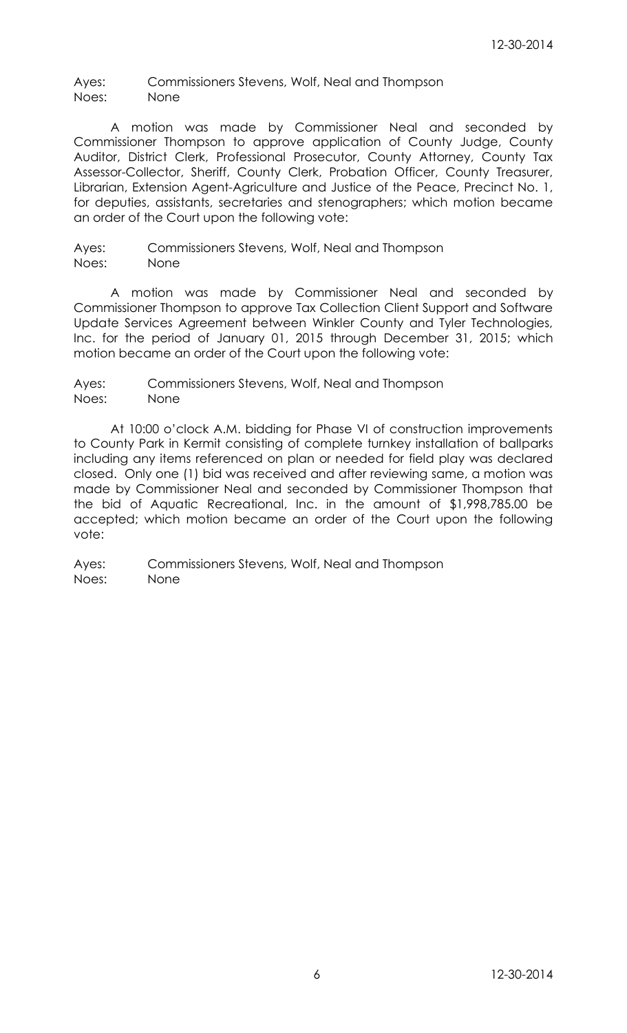Ayes: Commissioners Stevens, Wolf, Neal and Thompson Noes: None

A motion was made by Commissioner Neal and seconded by Commissioner Thompson to approve application of County Judge, County Auditor, District Clerk, Professional Prosecutor, County Attorney, County Tax Assessor-Collector, Sheriff, County Clerk, Probation Officer, County Treasurer, Librarian, Extension Agent-Agriculture and Justice of the Peace, Precinct No. 1, for deputies, assistants, secretaries and stenographers; which motion became an order of the Court upon the following vote:

Ayes: Commissioners Stevens, Wolf, Neal and Thompson Noes: None

A motion was made by Commissioner Neal and seconded by Commissioner Thompson to approve Tax Collection Client Support and Software Update Services Agreement between Winkler County and Tyler Technologies, Inc. for the period of January 01, 2015 through December 31, 2015; which motion became an order of the Court upon the following vote:

Ayes: Commissioners Stevens, Wolf, Neal and Thompson Noes: None

At 10:00 o'clock A.M. bidding for Phase VI of construction improvements to County Park in Kermit consisting of complete turnkey installation of ballparks including any items referenced on plan or needed for field play was declared closed. Only one (1) bid was received and after reviewing same, a motion was made by Commissioner Neal and seconded by Commissioner Thompson that the bid of Aquatic Recreational, Inc. in the amount of \$1,998,785.00 be accepted; which motion became an order of the Court upon the following vote: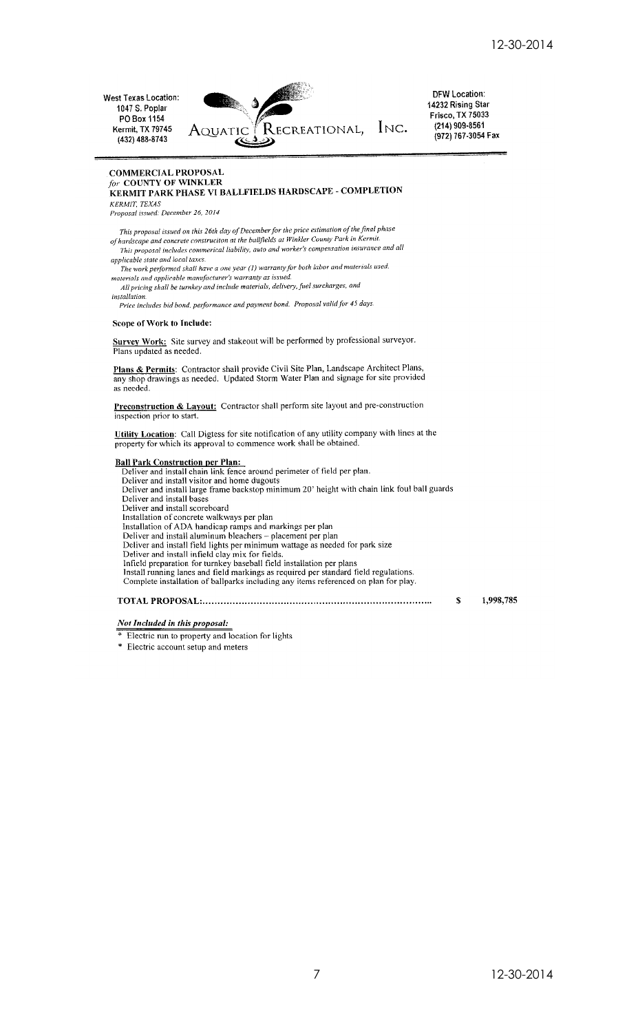West Texas Location: 1047 S. Poplar PO Box 1154 **Kermit, TX 79745**  $(432)$  488-8743



**DFW Location:** 14232 Rising Star Frisco, TX 75033<br>(214) 909-8561 (972) 767-3054 Fax

#### **COMMERCIAL PROPOSAL** for COUNTY OF WINKLER KERMIT PARK PHASE VI BALLFIELDS HARDSCAPE - COMPLETION KERMIT, TEXAS

Proposal issued: December 26, 2014

This proposal issued on this 26th day of December for the price estimation of the final phase<br>of hardscape and concrete construction at the ballfields at Winkler County Park in Kermit.<br>This proposal includes commerical lia

applicable state and local taxes. The work performed shall have a one year (1) warranty for both labor and materials used.

materials and applicable manufacturer's warranty as issued.<br>All pricing shall be turnkey and include materials, delivery, fuel surcharges, and installation.

nunation.<br>Price includes bid bond, performance and payment bond. Proposal valid for 45 days

#### Scope of Work to Include:

Survey Work: Site survey and stakeout will be performed by professional surveyor.<br>Plans updated as needed.

Plans & Permits: Contractor shall provide Civil Site Plan, Landscape Architect Plans, any shop drawings as needed. Updated Storm Water Plan and signage for site provided as needed.

Preconstruction & Layout: Contractor shall perform site layout and pre-construction inspection prior to start.

Utility Location: Call Digtess for site notification of any utility company with lines at the property for which its approval to commence work shall be obtained.

**Ball Park Construction per Plan:**<br>Deliver and install chain link fence around perimeter of field per plan.<br>Deliver and install visitor and home dugouts<br>Deliver and install large frame backstop minimum 20' height with chai Deliver and install bases Deliver and install scoreboard Installation of concrete walkways per plan Installation of ADA handicap ramps and markings per plan<br>Deliver and install aluminum bleachers – placement per plan<br>Deliver and install field lights per minimum wattage as needed for park size Deliver and install infield clay mix for fields.<br>Infield preparation for turnkey baseball field installation per plans<br>Infield preparation for turnkey baseball field installation per plans<br>Install running lanes and field m 1,998,785 \$

## Not Included in this proposal:

- Electric run to property and location for lights
- \* Electric account setup and meters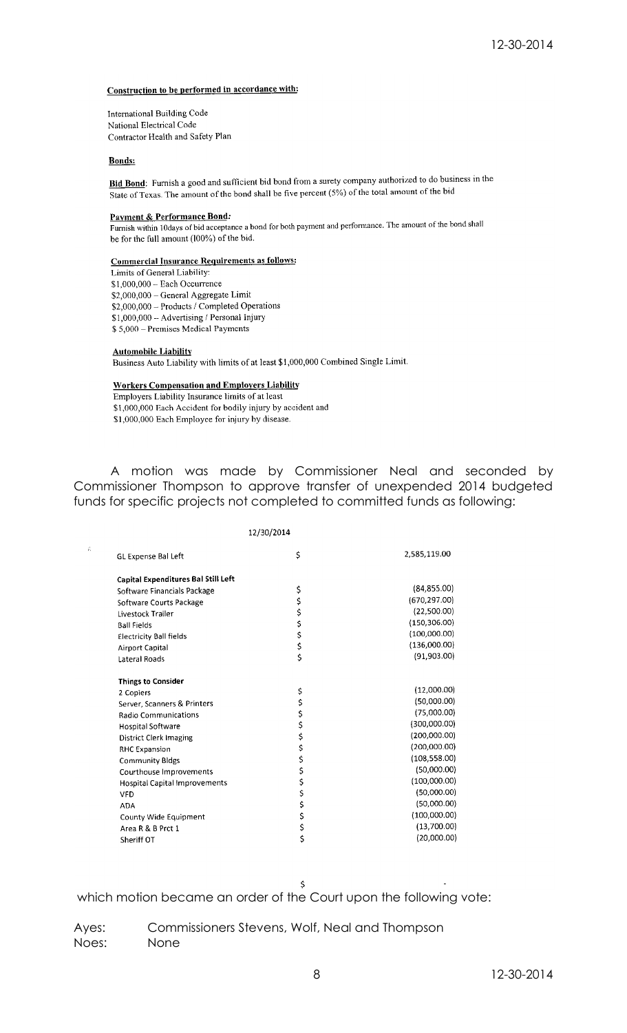#### Construction to be performed in accordance with:

International Building Code National Electrical Code Contractor Health and Safety Plan

#### **Bonds:**

**Bid Bond:** Furnish a good and sufficient bid bond from a surety company authorized to do business in the State of Texas. The amount of the bond shall be five percent (5%) of the total amount of the bid

#### Payment & Performance Bond:

Furnish within 10days of bid acceptance a bond for both payment and performance. The amount of the bond shall be for the full amount (100%) of the bid.

## **Commercial Insurance Requirements as follows:**

Limits of General Liability:  $$1,000,000 - Each Occurrence$ \$2,000,000 - General Aggregate Limit \$2,000,000 - Products / Completed Operations \$1,000,000 - Advertising / Personal Injury \$5,000 - Premises Medical Payments

#### **Automobile Liability**

Business Auto Liability with limits of at least \$1,000,000 Combined Single Limit.

#### **Workers Compensation and Employers Liability**

Employers Liability Insurance limits of at least \$1,000,000 Each Accident for bodily injury by accident and \$1,000,000 Each Employee for injury by disease.

A motion was made by Commissioner Neal and seconded by Commissioner Thompson to approve transfer of unexpended 2014 budgeted funds for specific projects not completed to committed funds as following:

|     |                                      | 12/30/2014 |               |
|-----|--------------------------------------|------------|---------------|
| ίť. | <b>GL Expense Bal Left</b>           | \$         | 2,585,119.00  |
|     | Capital Expenditures Bal Still Left  |            |               |
|     | Software Financials Package          | \$         | (84, 855.00)  |
|     | Software Courts Package              | \$\$\$\$   | (670, 297.00) |
|     | Livestock Trailer                    |            | (22,500.00)   |
|     | <b>Ball Fields</b>                   |            | (150, 306.00) |
|     | <b>Electricity Ball fields</b>       |            | (100,000.00)  |
|     | Airport Capital                      |            | (136,000.00)  |
|     | Lateral Roads                        | \$         | (91,903.00)   |
|     | <b>Things to Consider</b>            |            |               |
|     | 2 Copiers                            | \$         | (12,000.00)   |
|     | Server, Scanners & Printers          | \$         | (50,000.00)   |
|     | <b>Radio Communications</b>          | \$<br>\$   | (75,000.00)   |
|     | <b>Hospital Software</b>             |            | (300,000.00)  |
|     | <b>District Clerk Imaging</b>        | \$         | (200,000.00)  |
|     | <b>RHC Expansion</b>                 | \$         | (200,000.00)  |
|     | <b>Community Bldgs</b>               | \$         | (108, 558.00) |
|     | Courthouse Improvements              | Ş          | (50,000.00)   |
|     | <b>Hospital Capital Improvements</b> | \$         | (100,000.00)  |
|     | <b>VFD</b>                           | \$         | (50,000.00)   |
|     | <b>ADA</b>                           | \$         | (50,000.00)   |
|     | County Wide Equipment                | \$         | (100,000.00)  |
|     | Area R & B Prct 1                    | \$         | (13,700.00)   |
|     | Sheriff OT                           | \$         | (20,000.00)   |
|     |                                      |            |               |

 $120/20/2014$ 

which motion became an order of the Court upon the following vote: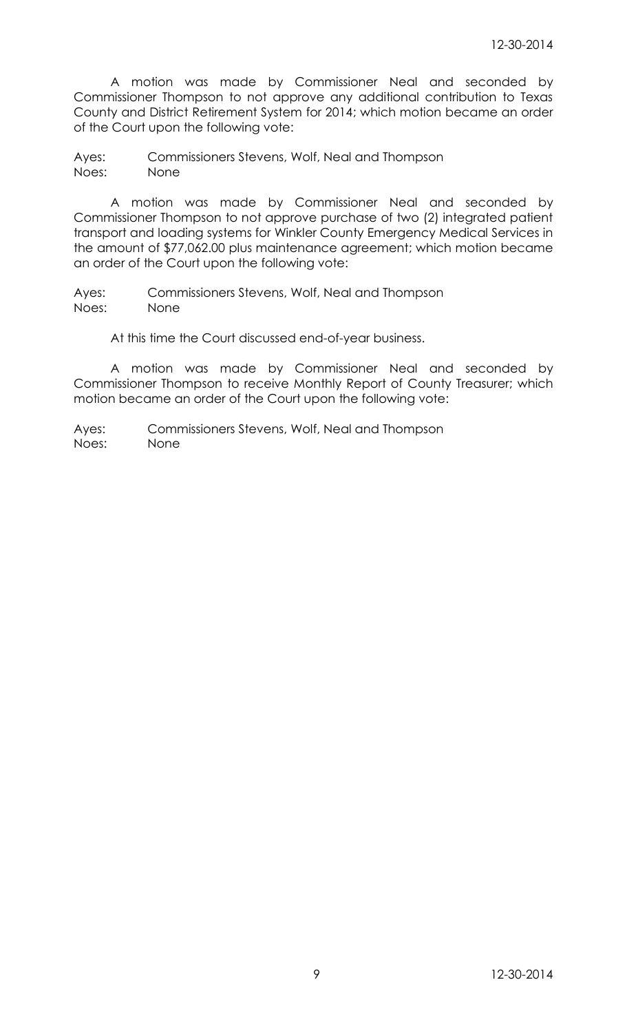A motion was made by Commissioner Neal and seconded by Commissioner Thompson to not approve any additional contribution to Texas County and District Retirement System for 2014; which motion became an order of the Court upon the following vote:

Ayes: Commissioners Stevens, Wolf, Neal and Thompson Noes: None

A motion was made by Commissioner Neal and seconded by Commissioner Thompson to not approve purchase of two (2) integrated patient transport and loading systems for Winkler County Emergency Medical Services in the amount of \$77,062.00 plus maintenance agreement; which motion became an order of the Court upon the following vote:

Ayes: Commissioners Stevens, Wolf, Neal and Thompson Noes: None

At this time the Court discussed end-of-year business.

A motion was made by Commissioner Neal and seconded by Commissioner Thompson to receive Monthly Report of County Treasurer; which motion became an order of the Court upon the following vote: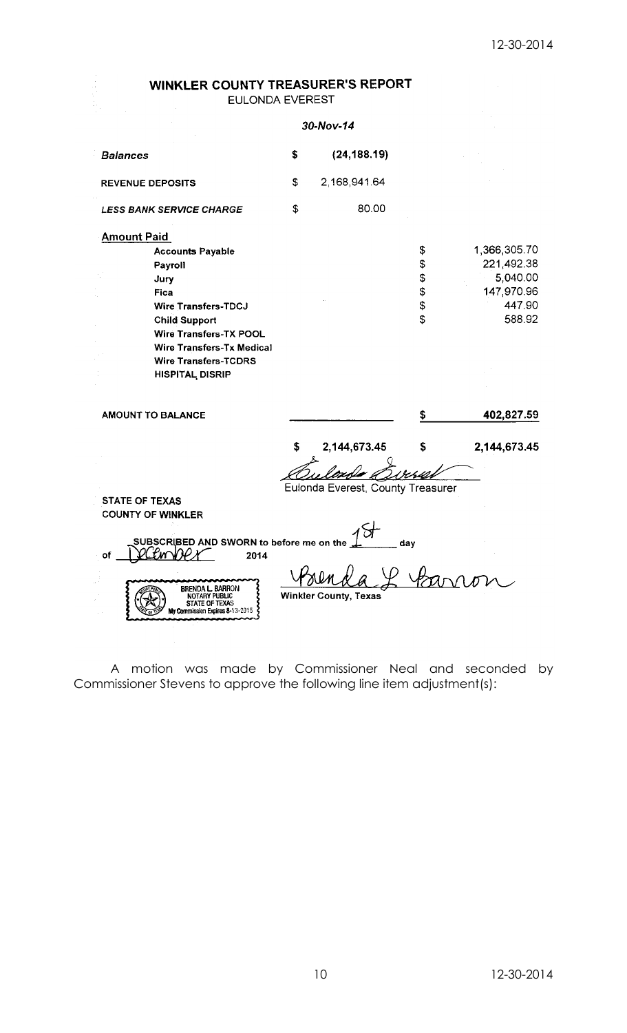# **WINKLER COUNTY TREASURER'S REPORT** EULONDA EVEREST

|                                                                    | 30-Nov-14                         |     |              |
|--------------------------------------------------------------------|-----------------------------------|-----|--------------|
| <b>Balances</b>                                                    | \$<br>(24, 188.19)                |     |              |
| <b>REVENUE DEPOSITS</b>                                            | \$<br>2,168,941.64                |     |              |
| <b>LESS BANK SERVICE CHARGE</b>                                    | \$<br>80.00                       |     |              |
| <b>Amount Paid</b>                                                 |                                   |     |              |
| <b>Accounts Payable</b>                                            |                                   | \$  | 1,366,305.70 |
| Payroll                                                            |                                   | \$  | 221,492.38   |
| Jury                                                               |                                   | \$  | 5,040.00     |
| Fica                                                               |                                   | \$  | 147,970.96   |
| <b>Wire Transfers-TDCJ</b>                                         |                                   | \$  | 447.90       |
| <b>Child Support</b>                                               |                                   | \$  | 588.92       |
| <b>Wire Transfers-TX POOL</b>                                      |                                   |     |              |
| <b>Wire Transfers-Tx Medical</b>                                   |                                   |     |              |
| <b>Wire Transfers-TCDRS</b>                                        |                                   |     |              |
| <b>HISPITAL DISRIP</b>                                             |                                   |     |              |
| <b>AMOUNT TO BALANCE</b>                                           |                                   | \$  | 402,827.59   |
|                                                                    | \$<br>2,144,673.45                | \$  | 2,144,673.45 |
|                                                                    |                                   |     |              |
|                                                                    | Eulonda Everest, County Treasurer |     |              |
| <b>STATE OF TEXAS</b>                                              |                                   |     |              |
| <b>COUNTY OF WINKLER</b>                                           |                                   |     |              |
|                                                                    |                                   |     |              |
| SUBSCRIBED AND SWORN to before me on the                           |                                   | dav |              |
| of<br>2014                                                         |                                   |     |              |
|                                                                    |                                   |     |              |
| <b>BRENDA L. BARRON</b>                                            |                                   |     |              |
| NOTARY PUBLIC<br>STATE OF TEXAS<br>My Commission Expires 8-13-2015 | <b>Winkler County, Texas</b>      |     |              |
|                                                                    |                                   |     |              |

A motion was made by Commissioner Neal and seconded by Commissioner Stevens to approve the following line item adjustment(s):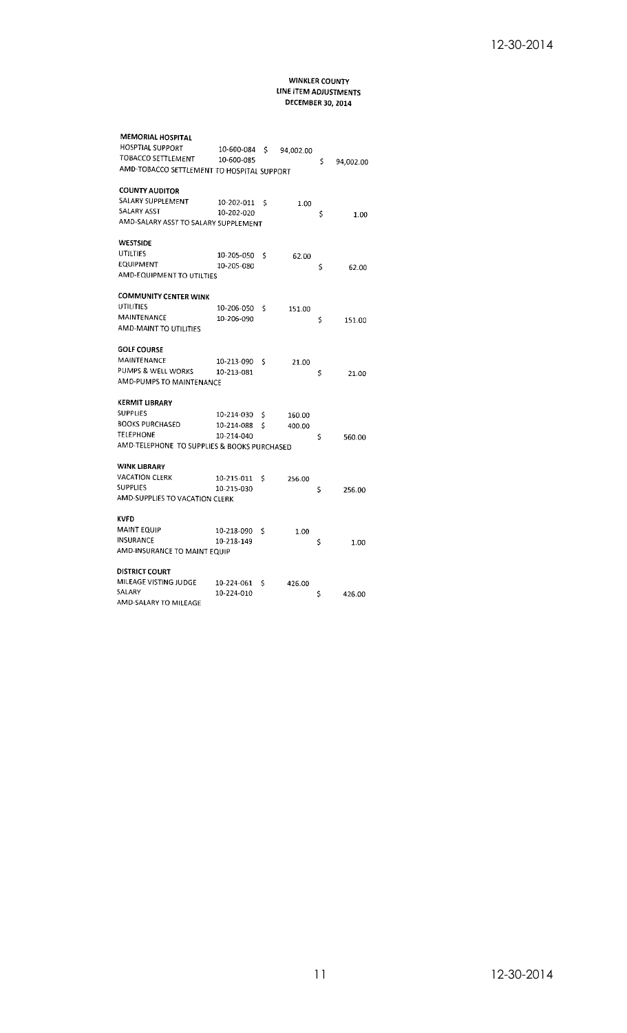### WINKLER COUNTY LINE ITEM ADJUSTMENTS **DECEMBER 30, 2014**

| <b>MEMORIAL HOSPITAL</b>                    |            |    |           |    |           |
|---------------------------------------------|------------|----|-----------|----|-----------|
| <b>HOSPTIAL SUPPORT</b>                     | 10-600-084 | \$ | 94,002.00 |    |           |
| TOBACCO SETTLEMENT                          | 10-600-085 |    |           | \$ | 94,002.00 |
| AMD-TOBACCO SETTLEMENT TO HOSPITAL SUPPORT  |            |    |           |    |           |
| <b>COUNTY AUDITOR</b>                       |            |    |           |    |           |
| SALARY SUPPLEMENT                           | 10-202-011 | \$ | 1.00      |    |           |
| SALARY ASST                                 | 10-202-020 |    |           | \$ | 1.00      |
| AMD-SALARY ASST TO SALARY SUPPLEMENT        |            |    |           |    |           |
| <b>WESTSIDE</b>                             |            |    |           |    |           |
| UTILTIES                                    | 10-205-050 | Ś  | 62.00     |    |           |
| <b>EQUIPMENT</b>                            | 10-205-080 |    |           | S  | 62.00     |
| AMD-EQUIPMENT TO UTILTIES                   |            |    |           |    |           |
| <b>COMMUNITY CENTER WINK</b>                |            |    |           |    |           |
| UTILITIES                                   | 10-206-050 | Ś  | 151.00    |    |           |
| <b>MAINTENANCE</b>                          | 10-206-090 |    |           | \$ | 151.00    |
| AMD-MAINT TO UTILITIES                      |            |    |           |    |           |
| <b>GOLF COURSE</b>                          |            |    |           |    |           |
| MAINTENANCE                                 | 10-213-090 | Ś  | 21.00     |    |           |
| PUMPS & WELL WORKS                          | 10-213-081 |    |           | \$ | 21.00     |
| AMD-PUMPS TO MAINTENANCE                    |            |    |           |    |           |
| KERMIT LIBRARY                              |            |    |           |    |           |
| <b>SUPPLIES</b>                             | 10-214-030 | \$ | 160.00    |    |           |
| <b>BOOKS PURCHASED</b>                      | 10-214-088 | Ś  | 400.00    |    |           |
| <b>TELEPHONE</b>                            | 10-214-040 |    |           | Ś  | 560.00    |
| AMD-TELEPHONE TO SUPPLIES & BOOKS PURCHASED |            |    |           |    |           |
| WINK LIBRARY                                |            |    |           |    |           |
| VACATION CLERK                              | 10-215-011 | Ś  | 256.00    |    |           |
| SUPPLIES                                    | 10-215-030 |    |           | \$ | 256.00    |
| AMD-SUPPLIES TO VACATION CLERK              |            |    |           |    |           |
| KVFD                                        |            |    |           |    |           |
| MAINT EQUIP                                 | 10-218-090 | Ś  | 1.00      |    |           |
| INSURANCE                                   | 10-218-149 |    |           | \$ | 1.00      |
| AMD-INSURANCE TO MAINT EQUIP                |            |    |           |    |           |
| DISTRICT COURT                              |            |    |           |    |           |
| MILEAGE VISTING JUDGE                       | 10-224-061 | Ś  | 426.00    |    |           |
| SALARY                                      | 10-224-010 |    |           | \$ | 426.00    |
| AMD-SALARY TO MILEAGE                       |            |    |           |    |           |
|                                             |            |    |           |    |           |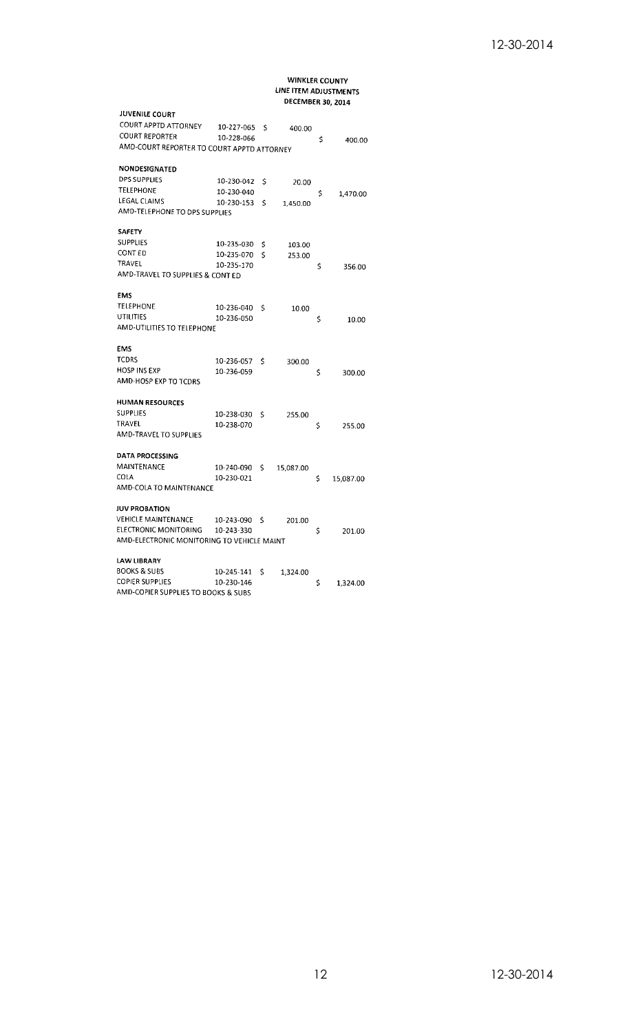# WINKLER COUNTY<br>LINE ITEM ADJUSTMENTS DECEMBER 30, 2014

| <b>JUVENILE COURT</b>                      |            |    |           |                 |
|--------------------------------------------|------------|----|-----------|-----------------|
| COURT APPTD ATTORNEY                       | 10-227-065 | Ś  | 400.00    |                 |
| <b>COURT REPORTER</b>                      | 10-228-066 |    |           | \$<br>400.00    |
| AMD-COURT REPORTER TO COURT APPTD ATTORNEY |            |    |           |                 |
| NONDESIGNATED                              |            |    |           |                 |
| <b>DPS SUPPLIES</b>                        | 10-230-042 | \$ | 20.00     |                 |
| <b>TELEPHONE</b>                           | 10-230-040 |    |           | \$<br>1,470.00  |
| LEGAL CLAIMS                               | 10-230-153 | \$ | 1,450.00  |                 |
| AMD-TELEPHONE TO DPS SUPPLIES              |            |    |           |                 |
| <b>SAFETY</b>                              |            |    |           |                 |
| <b>SUPPLIES</b>                            | 10-235-030 | \$ | 103.00    |                 |
| CONT ED                                    | 10-235-070 | Ś  | 253.00    |                 |
| TRAVEL                                     | 10-235-170 |    |           | \$<br>356.00    |
| AMD-TRAVEL TO SUPPLIES & CONT ED           |            |    |           |                 |
| <b>EMS</b>                                 |            |    |           |                 |
| TELEPHONE                                  | 10-236-040 | Ś  | 10.00     |                 |
| UTILITIES                                  | 10-236-050 |    |           | \$<br>10.00     |
| AMD-UTILITIES TO TELEPHONE                 |            |    |           |                 |
| EMS                                        |            |    |           |                 |
| TCDRS                                      | 10-236-057 | \$ | 300.00    |                 |
| <b>HOSP INS EXP</b>                        | 10-236-059 |    |           | \$<br>300.00    |
| AMD-HOSP EXP TO TCDRS                      |            |    |           |                 |
| <b>HUMAN RESOURCES</b>                     |            |    |           |                 |
| SUPPLIES                                   | 10-238-030 | \$ | 255.00    |                 |
| TRAVEL                                     | 10-238-070 |    |           | \$<br>255.00    |
| AMD-TRAVEL TO SUPPLIES                     |            |    |           |                 |
| <b>DATA PROCESSING</b>                     |            |    |           |                 |
| MAINTENANCE                                | 10-240-090 | \$ | 15,087.00 |                 |
| COLA                                       | 10-230-021 |    |           | \$<br>15,087.00 |
| AMD-COLA TO MAINTENANCE                    |            |    |           |                 |
| <b>JUV PROBATION</b>                       |            |    |           |                 |
| VEHICLE MAINTENANCE                        | 10-243-090 | \$ | 201.00    |                 |
| ELECTRONIC MONITORING                      | 10-243-330 |    |           | \$<br>201.00    |
| AMD-ELECTRONIC MONITORING TO VEHICLE MAINT |            |    |           |                 |
| LAW LIBRARY                                |            |    |           |                 |
| BOOKS & SUBS                               | 10-245-141 | \$ | 1,324.00  |                 |
| <b>COPIER SUPPLIES</b>                     | 10-230-146 |    |           | \$<br>1,324.00  |
| AMD-COPIER SUPPLIES TO BOOKS & SUBS        |            |    |           |                 |
|                                            |            |    |           |                 |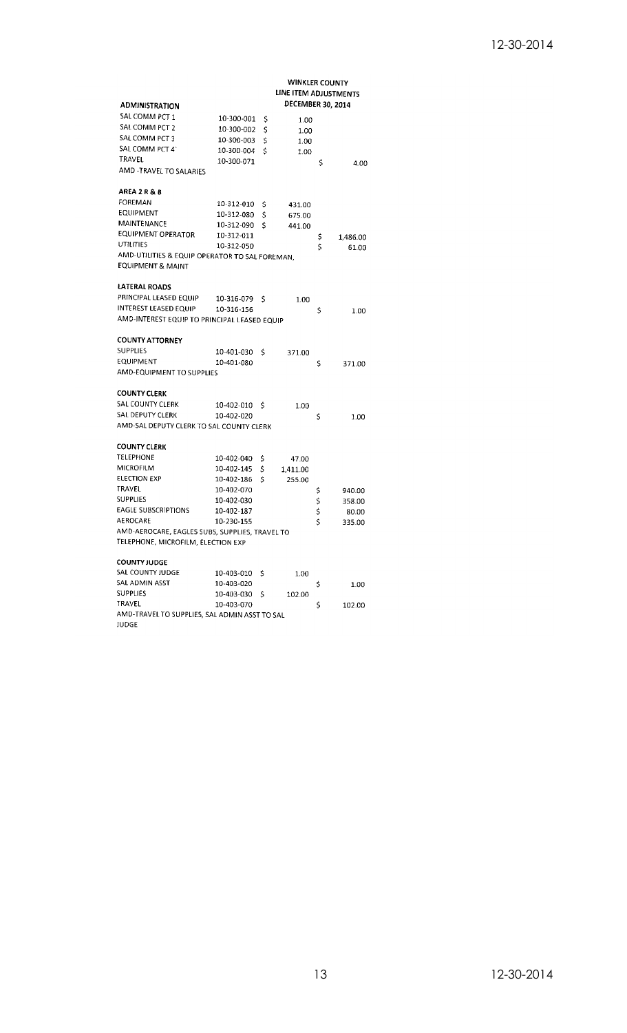|                                                |            |     | <b>WINKLER COUNTY</b><br>LINE ITEM ADJUSTMENTS |    |          |
|------------------------------------------------|------------|-----|------------------------------------------------|----|----------|
| <b>ADMINISTRATION</b>                          |            |     | <b>DECEMBER 30, 2014</b>                       |    |          |
| SAL COMM PCT 1                                 | 10-300-001 | Ş   | 1.00                                           |    |          |
| SAL COMM PCT 2                                 | 10-300-002 | \$  | 1.00                                           |    |          |
| SAL COMM PCT 3                                 | 10-300-003 | \$  | 1.00                                           |    |          |
| SAL COMM PCT 4                                 | 10-300-004 | \$  | 1.00                                           |    |          |
| TRAVEL                                         | 10-300-071 |     |                                                | \$ | 4.00     |
| AMD -TRAVEL TO SALARIES                        |            |     |                                                |    |          |
| AREA 2 R & B                                   |            |     |                                                |    |          |
| FOREMAN                                        | 10-312-010 | Ş   | 431.00                                         |    |          |
| EQUIPMENT                                      | 10-312-080 | \$  | 675.00                                         |    |          |
| MAINTENANCE                                    | 10-312-090 | \$  | 441.00                                         |    |          |
| EQUIPMENT OPERATOR                             | 10-312-011 |     |                                                | \$ | 1,486.00 |
| UTILITIES                                      | 10-312-050 |     |                                                | \$ | 61.00    |
| AMD-UTILITIES & EQUIP OPERATOR TO SAL FOREMAN, |            |     |                                                |    |          |
| <b>EQUIPMENT &amp; MAINT</b>                   |            |     |                                                |    |          |
| LATERAL ROADS                                  |            |     |                                                |    |          |
| PRINCIPAL LEASED EQUIP                         | 10-316-079 | \$  | 1.00                                           |    |          |
| INTEREST LEASED EQUIP                          | 10-316-156 |     |                                                | \$ | 1.00     |
| AMD-INTEREST EQUIP TO PRINCIPAL LEASED EQUIP   |            |     |                                                |    |          |
| <b>COUNTY ATTORNEY</b>                         |            |     |                                                |    |          |
| <b>SUPPLIES</b>                                | 10-401-030 | \$  | 371.00                                         |    |          |
| EQUIPMENT                                      | 10-401-080 |     |                                                | \$ | 371.00   |
| AMD-EQUIPMENT TO SUPPLIES                      |            |     |                                                |    |          |
| COUNTY CLERK                                   |            |     |                                                |    |          |
| SAL COUNTY CLERK                               | 10-402-010 | \$  | 1.00                                           |    |          |
| SAL DEPUTY CLERK                               | 10-402-020 |     |                                                | \$ | 1.00     |
| AMD-SAL DEPUTY CLERK TO SAL COUNTY CLERK       |            |     |                                                |    |          |
| <b>COUNTY CLERK</b>                            |            |     |                                                |    |          |
| TELEPHONE                                      | 10-402-040 | Ş   | 47.00                                          |    |          |
| MICROFILM                                      | 10-402-145 | \$. | 1,411.00                                       |    |          |
| <b>ELECTION EXP</b>                            | 10-402-186 | \$  | 255.00                                         |    |          |
| TRAVEL                                         | 10-402-070 |     |                                                | Ş  | 940.00   |
| <b>SUPPLIES</b>                                | 10-402-030 |     |                                                | \$ | 358.00   |
| <b>EAGLE SUBSCRIPTIONS</b>                     | 10-402-187 |     |                                                | \$ | 80.00    |
| <b>AEROCARE</b>                                | 10-230-155 |     |                                                | \$ | 335.00   |
| AMD-AEROCARE, EAGLES SUBS, SUPPLIES, TRAVEL TO |            |     |                                                |    |          |
| TELEPHONE, MICROFILM, ELECTION EXP             |            |     |                                                |    |          |
| <b>COUNTY JUDGE</b>                            |            |     |                                                |    |          |
| SAL COUNTY JUDGE                               | 10-403-010 | \$. | 1.00                                           |    |          |
| SAL ADMIN ASST                                 | 10-403-020 |     |                                                | \$ | 1.00     |
| SUPPLIES                                       | 10-403-030 | \$  | 102.00                                         |    |          |
| TRAVEL                                         | 10-403-070 |     |                                                | \$ | 102.00   |
| AMD-TRAVEL TO SUPPLIES, SAL ADMIN ASST TO SAL  |            |     |                                                |    |          |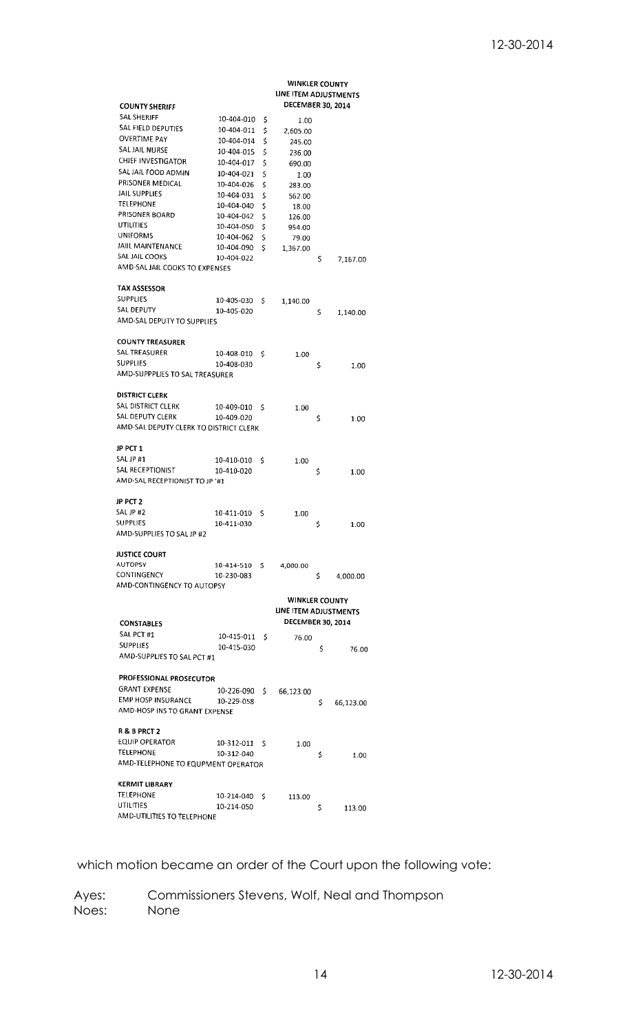|                                        |            |     | <b>WINKLER COUNTY</b>    |     |           |
|----------------------------------------|------------|-----|--------------------------|-----|-----------|
|                                        |            |     | LINE ITEM ADJUSTMENTS    |     |           |
| <b>COUNTY SHERIFF</b>                  |            |     | DECEMBER 30, 2014        |     |           |
| SAL SHERIFF                            | 10-404-010 | \$  | 1.00                     |     |           |
| SAL FIELD DEPUTIES                     | 10-404-011 | \$  | 2,605.00                 |     |           |
| OVERTIME PAY                           | 10-404-014 | \$  | 245.00                   |     |           |
| SAL JAIL NURSE                         | 10-404-015 | \$  | 236.00                   |     |           |
| CHIEF INVESTIGATOR                     | 10-404-017 | \$  | 690.00                   |     |           |
| SAL JAIL FOOD ADMIN                    | 10-404-021 | \$  | 1.00                     |     |           |
| PRISONER MEDICAL                       | 10-404-026 | \$  | 283.00                   |     |           |
| JAIL SUPPLIES                          | 10-404-031 | \$  | 562.00                   |     |           |
| <b>TELEPHONE</b>                       | 10-404-040 | \$  | 18.00                    |     |           |
| PRISONER BOARD                         | 10-404-042 | \$  | 126.00                   |     |           |
| UTILITIES                              | 10-404-050 | \$  | 954.00                   |     |           |
| <b>UNIFORMS</b>                        | 10-404-062 | \$  | 79.00                    |     |           |
| JAIIL MAINTENANCE                      | 10-404-090 | \$  | 1,367.00                 |     |           |
| SAL JAIL COOKS                         | 10-404-022 |     |                          | \$  | 7,167.00  |
| AMD-SAL JAIL COOKS TO EXPENSES         |            |     |                          |     |           |
|                                        |            |     |                          |     |           |
| <b>TAX ASSESSOR</b>                    |            |     |                          |     |           |
| SUPPLIES<br>SAL DEPUTY                 | 10-405-030 | \$  | 1,140.00                 |     |           |
|                                        | 10-405-020 |     |                          | \$  | 1,140.00  |
| AMD-SAL DEPUTY TO SUPPLIES             |            |     |                          |     |           |
| <b>COUNTY TREASURER</b>                |            |     |                          |     |           |
| SAL TREASURER                          |            |     |                          |     |           |
| <b>SUPPLIES</b>                        | 10-408-010 | S   | 1.00                     |     |           |
| AMD-SUPPPLIES TO SAL TREASURER         | 10-408-030 |     |                          | \$  | 1.00      |
|                                        |            |     |                          |     |           |
| <b>DISTRICT CLERK</b>                  |            |     |                          |     |           |
| SAL DISTRICT CLERK                     | 10-409-010 | S   |                          |     |           |
| SAL DEPUTY CLERK                       | 10-409-020 |     | 1.00                     |     |           |
| AMD-SAL DEPUTY CLERK TO DISTRICT CLERK |            |     |                          | Ş   | 1.00      |
|                                        |            |     |                          |     |           |
| JP PCT 1                               |            |     |                          |     |           |
| SAL JP #1                              | 10-410-010 | Ś   | 1.00                     |     |           |
| SAL RECEPTIONIST                       | 10-410-020 |     |                          | \$  | 1.00      |
| AMD-SAL RECEPTIONIST TO JP '#1         |            |     |                          |     |           |
|                                        |            |     |                          |     |           |
| JP PCT 2                               |            |     |                          |     |           |
| SAL JP #2                              | 10-411-010 | \$  | 1.00                     |     |           |
| <b>SUPPLIES</b>                        | 10-411-030 |     |                          | \$  | 1.00      |
| AMD-SUPPLIES TO SAL JP #2              |            |     |                          |     |           |
|                                        |            |     |                          |     |           |
| <b>JUSTICE COURT</b>                   |            |     |                          |     |           |
| <b>AUTOPSY</b>                         | 10-414-510 | \$. | 4,000.00                 |     |           |
| CONTINGENCY                            | 10-230-083 |     |                          | \$. | 4,000.00  |
| AMD-CONTINGENCY TO AUTOPSY             |            |     |                          |     |           |
|                                        |            |     | <b>WINKLER COUNTY</b>    |     |           |
|                                        |            |     | LINE ITEM ADJUSTMENTS    |     |           |
| <b>CONSTABLES</b>                      |            |     | <b>DECEMBER 30, 2014</b> |     |           |
| SAL PCT #1                             | 10-415-011 | \$  |                          |     |           |
| <b>SUPPLIES</b>                        | 10-415-030 |     | 76.00                    |     |           |
| AMD-SUPPLIES TO SAL PCT #1             |            |     |                          | Ś   | 76.00     |
|                                        |            |     |                          |     |           |
| PROFESSIONAL PROSECUTOR                |            |     |                          |     |           |
| <b>GRANT EXPENSE</b>                   | 10-226-090 | \$. | 66,123.00                |     |           |
| EMP HOSP INSURANCE                     | 10-229-058 |     |                          | \$  |           |
| AMD-HOSP INS TO GRANT EXPENSE          |            |     |                          |     | 66,123.00 |
|                                        |            |     |                          |     |           |
| <b>R&amp;BPRCT2</b>                    |            |     |                          |     |           |
| <b>EQUIP OPERATOR</b>                  | 10-312-011 | Ś   | 1.00                     |     |           |
| <b>TELEPHONE</b>                       | 10-312-040 |     |                          | \$  | 1.00      |
| AMD-TELEPHONE TO EQUPMENT OPERATOR     |            |     |                          |     |           |
|                                        |            |     |                          |     |           |
| <b>KERMIT LIBRARY</b>                  |            |     |                          |     |           |
| <b>TELEPHONE</b>                       | 10-214-040 | S   | 113.00                   |     |           |
| UTILITIES                              | 10-214-050 |     |                          | \$  | 113.00    |
| AMD-UTILITIES TO TELEPHONE             |            |     |                          |     |           |

which motion became an order of the Court upon the following vote: